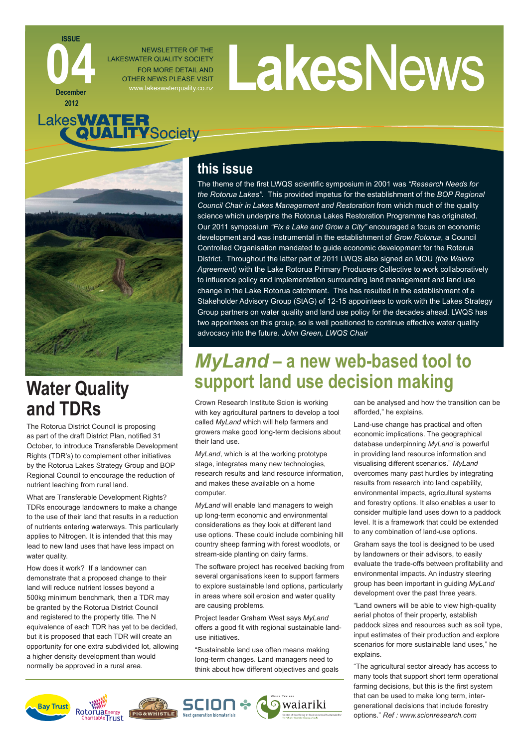NEWSLETTER OF THE LAKESWATER QUALITY SOCIETY FOR MORE DETAIL AND OTHER NEWS PLEASE VISIT

# NEWSLETTER OF THE<br>FOR MORE DETAIL AND<br>THER NEWS PLEASE VISIT



**ISSUE**

**December 2012**

**044** 

# **Water Quality and TDRs**

The Rotorua District Council is proposing as part of the draft District Plan, notified 31 October, to introduce Transferable Development Rights (TDR's) to complement other initiatives by the Rotorua Lakes Strategy Group and BOP Regional Council to encourage the reduction of nutrient leaching from rural land.

What are Transferable Development Rights? TDRs encourage landowners to make a change to the use of their land that results in a reduction of nutrients entering waterways. This particularly applies to Nitrogen. It is intended that this may lead to new land uses that have less impact on water quality.

How does it work? If a landowner can demonstrate that a proposed change to their land will reduce nutrient losses beyond a 500kg minimum benchmark, then a TDR may be granted by the Rotorua District Council and registered to the property title. The N equivalence of each TDR has yet to be decided, but it is proposed that each TDR will create an opportunity for one extra subdivided lot, allowing a higher density development than would normally be approved in a rural area.

## **this issue**

The theme of the first LWQS scientific symposium in 2001 was "Research Needs for *the Rotorua Lakes".* This provided impetus for the establishment of the *BOP Regional Council Chair in Lakes Management and Restoration* from which much of the quality science which underpins the Rotorua Lakes Restoration Programme has originated. Our 2011 symposium *"Fix a Lake and Grow a City"* encouraged a focus on economic development and was instrumental in the establishment of *Grow Rotorua*, a Council Controlled Organisation mandated to guide economic development for the Rotorua District. Throughout the latter part of 2011 LWQS also signed an MOU *(the Waiora Agreement)* with the Lake Rotorua Primary Producers Collective to work collaboratively to influence policy and implementation surrounding land management and land use change in the Lake Rotorua catchment. This has resulted in the establishment of a Stakeholder Advisory Group (StAG) of 12-15 appointees to work with the Lakes Strategy Group partners on water quality and land use policy for the decades ahead. LWQS has two appointees on this group, so is well positioned to continue effective water quality advocacy into the future. *John Green, LWQS Chair*

# *MyLand* **– a new web-based tool to support land use decision making**

Crown Research Institute Scion is working with key agricultural partners to develop a tool called *MyLand* which will help farmers and growers make good long-term decisions about their land use.

*MyLand*, which is at the working prototype stage, integrates many new technologies, research results and land resource information, and makes these available on a home computer.

*MyLand* will enable land managers to weigh up long-term economic and environmental considerations as they look at different land use options. These could include combining hill country sheep farming with forest woodlots, or stream-side planting on dairy farms.

The software project has received backing from several organisations keen to support farmers to explore sustainable land options, particularly in areas where soil erosion and water quality are causing problems.

Project leader Graham West says *MyLand* offers a good fit with regional sustainable landuse initiatives.

"Sustainable land use often means making long-term changes. Land managers need to think about how different objectives and goals



can be analysed and how the transition can be afforded," he explains.

Land-use change has practical and often economic implications. The geographical database underpinning *MyLand* is powerful in providing land resource information and visualising different scenarios." *MyLand* overcomes many past hurdles by integrating results from research into land capability, environmental impacts, agricultural systems and forestry options. It also enables a user to consider multiple land uses down to a paddock level. It is a framework that could be extended to any combination of land-use options.

Graham says the tool is designed to be used by landowners or their advisors, to easily evaluate the trade-offs between profitability and environmental impacts. An industry steering group has been important in guiding *MyLand* development over the past three years.

"Land owners will be able to view high-quality aerial photos of their property, establish paddock sizes and resources such as soil type, input estimates of their production and explore scenarios for more sustainable land uses," he explains.

"The agricultural sector already has access to many tools that support short term operational farming decisions, but this is the first system that can be used to make long term, intergenerational decisions that include forestry options." *Ref : www.scionresearch.com*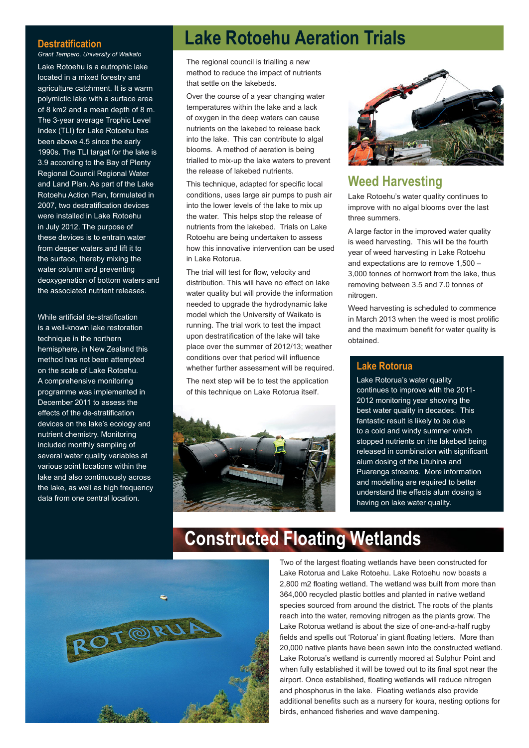#### **Destratification**

*Grant Tempero, University of Waikato* Lake Rotoehu is a eutrophic lake located in a mixed forestry and agriculture catchment. It is a warm polymictic lake with a surface area of 8 km2 and a mean depth of 8 m. The 3-year average Trophic Level Index (TLI) for Lake Rotoehu has been above 4.5 since the early 1990s. The TLI target for the lake is 3.9 according to the Bay of Plenty Regional Council Regional Water and Land Plan. As part of the Lake Rotoehu Action Plan, formulated in 2007, two destratification devices were installed in Lake Rotoehu in July 2012. The purpose of these devices is to entrain water from deeper waters and lift it to the surface, thereby mixing the water column and preventing deoxygenation of bottom waters and the associated nutrient releases.

While artificial de-stratification is a well-known lake restoration technique in the northern hemisphere, in New Zealand this method has not been attempted on the scale of Lake Rotoehu. A comprehensive monitoring programme was implemented in December 2011 to assess the effects of the de-stratification devices on the lake's ecology and nutrient chemistry. Monitoring included monthly sampling of several water quality variables at various point locations within the lake and also continuously across the lake, as well as high frequency data from one central location.

# **Lake Rotoehu Aeration Trials**

The regional council is trialling a new method to reduce the impact of nutrients that settle on the lakebeds.

Over the course of a year changing water temperatures within the lake and a lack of oxygen in the deep waters can cause nutrients on the lakebed to release back into the lake. This can contribute to algal blooms. A method of aeration is being trialled to mix-up the lake waters to prevent the release of lakebed nutrients.

This technique, adapted for specific local conditions, uses large air pumps to push air into the lower levels of the lake to mix up the water. This helps stop the release of nutrients from the lakebed. Trials on Lake Rotoehu are being undertaken to assess how this innovative intervention can be used in Lake Rotorua.

The trial will test for flow, velocity and distribution. This will have no effect on lake water quality but will provide the information needed to upgrade the hydrodynamic lake model which the University of Waikato is running. The trial work to test the impact upon destratification of the lake will take place over the summer of 2012/13; weather conditions over that period will influence whether further assessment will be required. The next step will be to test the application of this technique on Lake Rotorua itself.





#### **Weed Harvesting**

Lake Rotoehu's water quality continues to improve with no algal blooms over the last three summers.

A large factor in the improved water quality is weed harvesting. This will be the fourth year of weed harvesting in Lake Rotoehu and expectations are to remove 1,500 – 3,000 tonnes of hornwort from the lake, thus removing between 3.5 and 7.0 tonnes of nitrogen.

Weed harvesting is scheduled to commence in March 2013 when the weed is most prolific and the maximum benefit for water quality is obtained.

#### **Lake Rotorua**

Lake Rotorua's water quality continues to improve with the 2011- 2012 monitoring year showing the best water quality in decades. This fantastic result is likely to be due to a cold and windy summer which stopped nutrients on the lakebed being released in combination with significant alum dosing of the Utuhina and Puarenga streams. More information and modelling are required to better understand the effects alum dosing is having on lake water quality.



# **Constructed Floating Wetlands**

Two of the largest floating wetlands have been constructed for Lake Rotorua and Lake Rotoehu. Lake Rotoehu now boasts a 2,800 m2 floating wetland. The wetland was built from more than 364,000 recycled plastic bottles and planted in native wetland species sourced from around the district. The roots of the plants reach into the water, removing nitrogen as the plants grow. The Lake Rotorua wetland is about the size of one-and-a-half rugby fields and spells out 'Rotorua' in giant floating letters. More than 20,000 native plants have been sewn into the constructed wetland. Lake Rotorua's wetland is currently moored at Sulphur Point and when fully established it will be towed out to its final spot near the airport. Once established, floating wetlands will reduce nitrogen and phosphorus in the lake. Floating wetlands also provide additional benefits such as a nursery for koura, nesting options for birds, enhanced fisheries and wave dampening.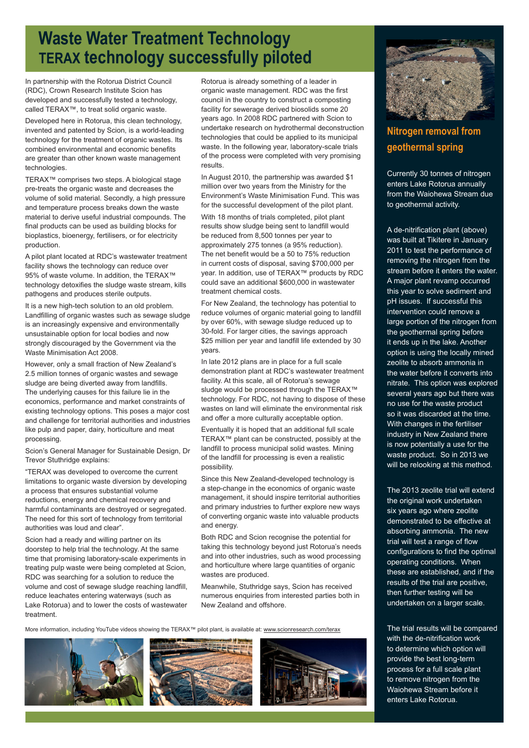## **Waste Water Treatment Technology TERAX technology successfully piloted**

In partnership with the Rotorua District Council (RDC), Crown Research Institute Scion has developed and successfully tested a technology, called TERAX™, to treat solid organic waste.

Developed here in Rotorua, this clean technology, invented and patented by Scion, is a world-leading technology for the treatment of organic wastes. Its combined environmental and economic benefits are greater than other known waste management technologies.

TERAX™ comprises two steps. A biological stage pre-treats the organic waste and decreases the volume of solid material. Secondly, a high pressure and temperature process breaks down the waste material to derive useful industrial compounds. The final products can be used as building blocks for bioplastics, bioenergy, fertilisers, or for electricity production.

A pilot plant located at RDC's wastewater treatment facility shows the technology can reduce over 95% of waste volume. In addition, the TERAX™ technology detoxifies the sludge waste stream, kills pathogens and produces sterile outputs.

It is a new high-tech solution to an old problem. Landfilling of organic wastes such as sewage sludge is an increasingly expensive and environmentally unsustainable option for local bodies and now strongly discouraged by the Government via the Waste Minimisation Act 2008.

However, only a small fraction of New Zealand's 2.5 million tonnes of organic wastes and sewage sludge are being diverted away from landfills. The underlying causes for this failure lie in the economics, performance and market constraints of existing technology options. This poses a major cost and challenge for territorial authorities and industries like pulp and paper, dairy, horticulture and meat processing.

Scion's General Manager for Sustainable Design, Dr Trevor Stuthridge explains:

"TERAX was developed to overcome the current limitations to organic waste diversion by developing a process that ensures substantial volume reductions, energy and chemical recovery and harmful contaminants are destroyed or segregated. The need for this sort of technology from territorial authorities was loud and clear".

Scion had a ready and willing partner on its doorstep to help trial the technology. At the same time that promising laboratory-scale experiments in treating pulp waste were being completed at Scion, RDC was searching for a solution to reduce the volume and cost of sewage sludge reaching landfill. reduce leachates entering waterways (such as Lake Rotorua) and to lower the costs of wastewater treatment.

Rotorua is already something of a leader in organic waste management. RDC was the first council in the country to construct a composting facility for sewerage derived biosolids some 20 years ago. In 2008 RDC partnered with Scion to undertake research on hydrothermal deconstruction technologies that could be applied to its municipal waste. In the following year, laboratory-scale trials of the process were completed with very promising results.

In August 2010, the partnership was awarded \$1 million over two years from the Ministry for the Environment's Waste Minimisation Fund. This was for the successful development of the pilot plant. With 18 months of trials completed, pilot plant results show sludge being sent to landfill would be reduced from 8,500 tonnes per year to approximately 275 tonnes (a 95% reduction). The net benefit would be a 50 to 75% reduction in current costs of disposal, saving \$700,000 per year. In addition, use of TERAX™ products by RDC could save an additional \$600,000 in wastewater treatment chemical costs.

For New Zealand, the technology has potential to reduce volumes of organic material going to landfill by over 60%, with sewage sludge reduced up to 30-fold. For larger cities, the savings approach \$25 million per year and landfill life extended by 30 years.

In late 2012 plans are in place for a full scale demonstration plant at RDC's wastewater treatment facility. At this scale, all of Rotorua's sewage sludge would be processed through the TERAX™ technology. For RDC, not having to dispose of these wastes on land will eliminate the environmental risk and offer a more culturally acceptable option.

Eventually it is hoped that an additional full scale TERAX™ plant can be constructed, possibly at the landfill to process municipal solid wastes. Mining of the landfill for processing is even a realistic possibility.

Since this New Zealand-developed technology is a step-change in the economics of organic waste management, it should inspire territorial authorities and primary industries to further explore new ways of converting organic waste into valuable products and energy.

Both RDC and Scion recognise the potential for taking this technology beyond just Rotorua's needs and into other industries, such as wood processing and horticulture where large quantities of organic wastes are produced.

Meanwhile, Stuthridge says, Scion has received numerous enquiries from interested parties both in New Zealand and offshore.

More information, including YouTube videos showing the TERAX™ pilot plant, is available at: www.scionresearch.com/terax









### **Nitrogen removal from geothermal spring**

Currently 30 tonnes of nitrogen enters Lake Rotorua annually from the Waiohewa Stream due to geothermal activity.

A de-nitrification plant (above) was built at Tikitere in January 2011 to test the performance of removing the nitrogen from the stream before it enters the water. A major plant revamp occurred this year to solve sediment and pH issues. If successful this intervention could remove a large portion of the nitrogen from the geothermal spring before it ends up in the lake. Another option is using the locally mined zeolite to absorb ammonia in the water before it converts into nitrate. This option was explored several years ago but there was no use for the waste product so it was discarded at the time. With changes in the fertiliser industry in New Zealand there is now potentially a use for the waste product. So in 2013 we will be relooking at this method.

The 2013 zeolite trial will extend the original work undertaken six years ago where zeolite demonstrated to be effective at absorbing ammonia. The new trial will test a range of flow configurations to find the optimal operating conditions. When these are established, and if the results of the trial are positive, then further testing will be undertaken on a larger scale.

The trial results will be compared with the de-nitrification work to determine which option will provide the best long-term process for a full scale plant to remove nitrogen from the Waiohewa Stream before it enters Lake Rotorua.